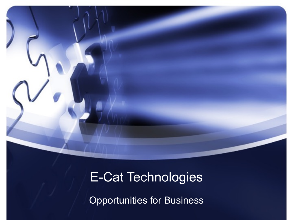### E-Cat Technologies

Opportunities for Business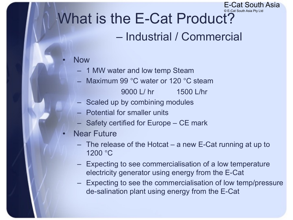#### © E-Cat South Asia Pty Ltd What is the E-Cat Product?

#### – Industrial / Commercial

E-Cat South Asia

#### • Now

- 1 MW water and low temp Steam
- Maximum 99 °C water or 120 °C steam

9000 L/ hr 1500 L/hr

- Scaled up by combining modules
- Potential for smaller units
- Safety certified for Europe CE mark
- **Near Future** 
	- The release of the Hotcat a new E-Cat running at up to 1200 °C
	- Expecting to see commercialisation of a low temperature electricity generator using energy from the E-Cat
	- Expecting to see the commercialisation of low temp/pressure de-salination plant using energy from the E-Cat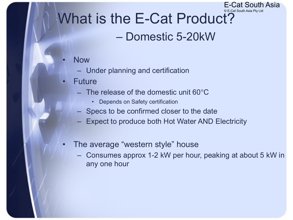#### © E-Cat South Asia Pty Ltd What is the E-Cat Product?

#### – Domestic 5-20kW

E-Cat South Asia

- Now
	- Under planning and certification
- **Future** 
	- The release of the domestic unit 60°C
		- Depends on Safety certification
	- Specs to be confirmed closer to the date
	- Expect to produce both Hot Water AND Electricity
- The average "western style" house
	- Consumes approx 1-2 kW per hour, peaking at about 5 kW in any one hour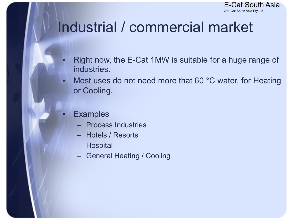

# Industrial / commercial market

- Right now, the E-Cat 1MW is suitable for a huge range of industries.
- Most uses do not need more that 60 °C water, for Heating or Cooling.
- **Examples** 
	- Process Industries
	- Hotels / Resorts
	- Hospital
	- General Heating / Cooling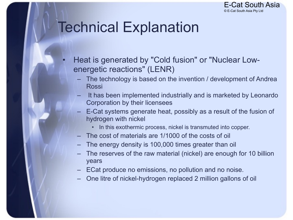

## Technical Explanation

- Heat is generated by "Cold fusion" or "Nuclear Lowenergetic reactions" (LENR)
	- The technology is based on the invention / development of Andrea Rossi
	- It has been implemented industrially and is marketed by Leonardo Corporation by their licensees
	- E-Cat systems generate heat, possibly as a result of the fusion of hydrogen with nickel
		- In this exothermic process, nickel is transmuted into copper.
	- The cost of materials are 1/1000 of the costs of oil
	- The energy density is 100,000 times greater than oil
	- The reserves of the raw material (nickel) are enough for 10 billion years
	- ECat produce no emissions, no pollution and no noise.
	- One litre of nickel-hydrogen replaced 2 million gallons of oil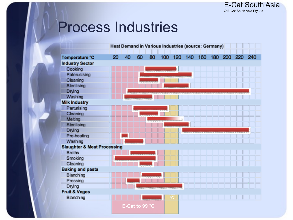## Process Industries

|                                        |    |    |                          | Heat Demand in Various Industries (source: Germany) |     |         |                 |  |     |
|----------------------------------------|----|----|--------------------------|-----------------------------------------------------|-----|---------|-----------------|--|-----|
| Temperature °C                         | 20 | 40 | 60                       | 80                                                  | 100 | 120 140 | 160 180 200 220 |  | 240 |
| <b>Industry Sector</b>                 |    |    |                          |                                                     |     |         |                 |  |     |
| Cooking                                |    |    |                          |                                                     |     |         |                 |  |     |
| Paterusising                           |    |    |                          |                                                     |     |         |                 |  |     |
| Cleaning                               |    |    |                          |                                                     |     |         |                 |  |     |
| Sterilising                            |    |    |                          |                                                     |     |         |                 |  |     |
| Drying                                 |    |    |                          |                                                     |     |         |                 |  |     |
| Washing                                |    |    |                          |                                                     |     |         |                 |  |     |
| <b>Milk Industry</b>                   |    |    |                          |                                                     |     |         |                 |  |     |
| Parturising                            |    |    |                          |                                                     |     |         |                 |  |     |
| Cleaning                               |    |    |                          |                                                     |     |         |                 |  |     |
| Melting                                |    |    |                          |                                                     |     |         |                 |  |     |
| Sterilising                            |    |    |                          |                                                     |     |         |                 |  |     |
| <b>Drying</b>                          |    |    |                          |                                                     |     |         |                 |  |     |
| Pre-heating                            |    |    |                          |                                                     |     |         |                 |  |     |
| Washing                                |    |    |                          |                                                     |     |         |                 |  |     |
| <b>Slaughter &amp; Meat Processing</b> |    |    |                          |                                                     |     |         |                 |  |     |
| <b>Broths</b>                          |    |    |                          |                                                     |     |         |                 |  |     |
| Smoking                                |    |    |                          |                                                     |     |         |                 |  |     |
| Cleaning                               |    |    |                          |                                                     |     |         |                 |  |     |
| <b>Baking and pasta</b>                |    |    |                          |                                                     |     |         |                 |  |     |
| Blanching                              |    |    |                          |                                                     |     |         |                 |  |     |
| Pressing                               |    |    |                          |                                                     |     |         |                 |  |     |
| Drying                                 |    |    |                          |                                                     |     |         |                 |  |     |
| <b>Fruit &amp; Veges</b>               |    |    |                          |                                                     |     |         |                 |  |     |
| Blanching                              |    |    |                          |                                                     |     |         |                 |  |     |
|                                        |    |    | E-Cat to 99 $^{\circ}$ C |                                                     |     |         |                 |  |     |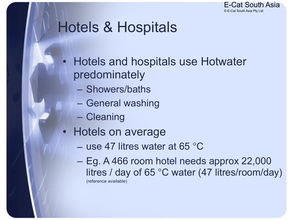

## Hotels & Hospitals

- Hotels and hospitals use Hotwater predominately
	- Showers/baths
	- General washing
	- Cleaning
- Hotels on average
	- use 47 litres water at 65 °C
	- Eg. A 466 room hotel needs approx 22,000 litres / day of 65 °C water (47 litres/room/day) (reference available)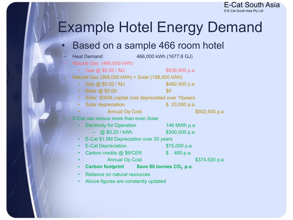

# Example Hotel Energy Demand

#### Based on a sample 466 room hotel

| <b>Heat Demand</b>                                                | 466,000 kWh (1677.6 GJ) |                |                |  |  |
|-------------------------------------------------------------------|-------------------------|----------------|----------------|--|--|
| Natural Gas (466,000 kWh)                                         |                         |                |                |  |  |
| Gas @ \$0.50 / MJ                                                 |                         | \$838,800 p.a. |                |  |  |
| Natural Gas (268,000 kWh) + Solar (198,000 kWh)                   |                         |                |                |  |  |
| Gas @ \$0.50 / MJ<br>$\bullet$                                    |                         | \$482,400 p.a  |                |  |  |
| Solar @ \$0.00<br>$\bullet$                                       | \$0                     |                |                |  |  |
| Solar \$300k capital cost depreciated over 15 years               |                         |                |                |  |  |
| Solar depreciation                                                |                         | \$20,000 p.a.  |                |  |  |
| <b>Annual Op Cost</b>                                             |                         |                | \$502,400 p.a. |  |  |
| E-Cat can reduce more than even Solar                             |                         |                |                |  |  |
| <b>Electricity for Operation</b>                                  |                         | 146 MWh p.a.   |                |  |  |
| @ \$0.20 / kWh                                                    |                         | \$300,000 p.a. |                |  |  |
| E-Cat \$1.5M Depreciation over 20 years                           |                         |                |                |  |  |
| <b>E-Cat Depreciation</b>                                         |                         | $$75,000$ p.a. |                |  |  |
| Carbon credits @ \$6/CER                                          | $\mathbb{S}$            | 480 p.a.       |                |  |  |
| <b>Annual Op Cost</b>                                             |                         |                | \$374,520 p.a. |  |  |
| Carbon footprint Save 80 tonnes CO <sub>2</sub> p.a.<br>$\bullet$ |                         |                |                |  |  |
| Reliance on natural resources                                     |                         |                |                |  |  |
| Above figures are constantly updated                              |                         |                |                |  |  |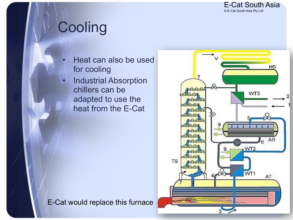

# **Cooling**

- Heat can also be used for cooling
- **Industrial Absorption** chillers can be adapted to use the heat from the E-Cat



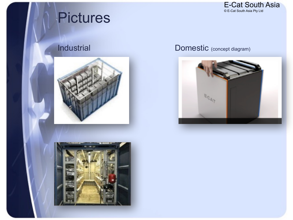

## **Pictures**





#### Industrial Domestic (concept diagram)

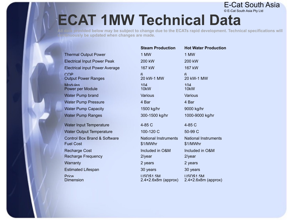#### © E-Cat South Asia Pty Ltd **ECAT 1MW Technical Data**

**Alla provided below may be subject to change due to the ECATs rapid development. Technical specifications will continuously be updated when changes are made.**

E-Cat South Asia

|                                                  | <b>Steam Production</b>                                 | <b>Hot Water Production</b>                              |
|--------------------------------------------------|---------------------------------------------------------|----------------------------------------------------------|
| <b>Thermal Output Power</b>                      | 1 MW                                                    | 1 MW                                                     |
| <b>Electrical Input Power Peak</b>               | 200 kW                                                  | 200 kW                                                   |
| <b>Electrical input Power Average</b>            | 167 kW                                                  | 167 kW                                                   |
| COP<br><b>Output Power Ranges</b>                | 6<br>20 kW-1 MW                                         | $6 \overline{6}$<br>20 kW-1 MW                           |
| Modules<br>Power per Module                      | 104<br>10kW                                             | 104<br>10kW                                              |
| <b>Water Pump brand</b>                          | Various                                                 | Various                                                  |
| <b>Water Pump Pressure</b>                       | 4 Bar                                                   | 4 Bar                                                    |
| <b>Water Pump Capacity</b>                       | 1500 kg/hr                                              | 9000 kg/hr                                               |
| <b>Water Pump Ranges</b>                         | 300-1500 kg/hr                                          | 1000-9000 kg/hr                                          |
| Water Input Temperature                          | 4-85 C                                                  | $4-85C$                                                  |
| <b>Water Output Temperature</b>                  | 100-120 C                                               | 50-99 C                                                  |
| Control Box Brand & Software<br><b>Fuel Cost</b> | <b>National Instruments</b><br>\$1/MWhr                 | <b>National Instruments</b><br>\$1/MWhr                  |
| <b>Recharge Cost</b>                             | Included in O&M                                         | Included in O&M                                          |
| <b>Recharge Frequency</b>                        | $2$ /year                                               | 2/year                                                   |
| Warranty                                         | 2 years                                                 | 2 years                                                  |
| <b>Estimated Lifespan</b>                        | 30 years                                                | 30 years                                                 |
| Price<br>Dimension                               | <b>USD\$1.5M</b><br>$2.4 \times 2.6 \times 8m$ (approx) | <b>LISD\$1.5M</b><br>$2.4 \times 2.6 \times 8m$ (approx) |